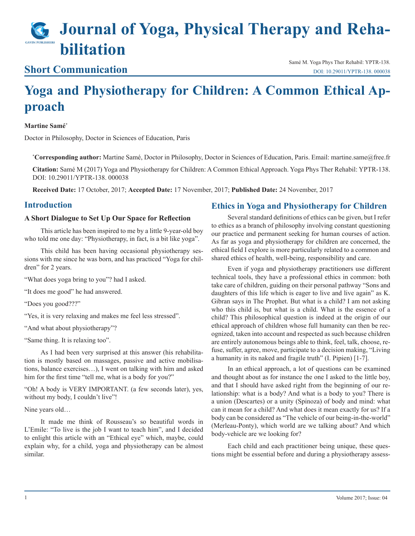# **Journal of Yoga, Physical Therapy and Rehabilitation**

### **Short Communication**

Samé M. Yoga Phys Ther Rehabil: YPTR-138. [DOI: 10.29011/YPTR-138. 000038](http://doi.org/10.29011/YPTR-138. 000038)

## **Yoga and Physiotherapy for Children: A Common Ethical Approach**

#### **Martine Samé\***

Doctor in Philosophy, Doctor in Sciences of Education, Paris

**\* Corresponding author:** Martine Samé, Doctor in Philosophy, Doctor in Sciences of Education, Paris. Email: martine.same@free.fr

**Citation:** Samé M (2017) Yoga and Physiotherapy for Children: A Common Ethical Approach. Yoga Phys Ther Rehabil: YPTR-138. DOI: 10.29011/YPTR-138. 000038

**Received Date:** 17 October, 2017; **Accepted Date:** 17 November, 2017; **Published Date:** 24 November, 2017

#### **Introduction**

#### **A Short Dialogue to Set Up Our Space for Reflection**

This article has been inspired to me by a little 9-year-old boy who told me one day: "Physiotherapy, in fact, is a bit like yoga".

This child has been having occasional physiotherapy sessions with me since he was born, and has practiced "Yoga for children" for 2 years.

"What does yoga bring to you"? had I asked.

"It does me good" he had answered.

"Does you good???"

"Yes, it is very relaxing and makes me feel less stressed".

"And what about physiotherapy"?

"Same thing. It is relaxing too".

As I had been very surprised at this answer (his rehabilitation is mostly based on massages, passive and active mobilisations, balance exercises…), I went on talking with him and asked him for the first time "tell me, what is a body for you?"

"Oh! A body is VERY IMPORTANT. (a few seconds later), yes, without my body, I couldn't live"!

Nine years old…

It made me think of Rousseau's so beautiful words in L'Emile: "To live is the job I want to teach him", and I decided to enlight this article with an "Ethical eye" which, maybe, could explain why, for a child, yoga and physiotherapy can be almost similar.

#### **Ethics in Yoga and Physiotherapy for Children**

Several standard definitions of ethics can be given, but I refer to ethics as a branch of philosophy involving constant questioning our practice and permanent seeking for human courses of action. As far as yoga and physiotherapy for children are concerned, the ethical field I explore is more particularly related to a common and shared ethics of health, well-being, responsibility and care.

Even if yoga and physiotherapy practitioners use different technical tools, they have a professional ethics in common: both take care of children, guiding on their personal pathway "Sons and daughters of this life which is eager to live and live again" as K. Gibran says in The Prophet. But what is a child? I am not asking who this child is, but what is a child. What is the essence of a child? This philosophical question is indeed at the origin of our ethical approach of children whose full humanity can then be recognized, taken into account and respected as such because children are entirely autonomous beings able to think, feel, talk, choose, refuse, suffer, agree, move, participate to a decision making, "Living a humanity in its naked and fragile truth" (I. Pipien) [1-7].

In an ethical approach, a lot of questions can be examined and thought about as for instance the one I asked to the little boy, and that I should have asked right from the beginning of our relationship: what is a body? And what is a body to you? There is a union (Descartes) or a unity (Spinoza) of body and mind: what can it mean for a child? And what does it mean exactly for us? If a body can be considered as "The vehicle of our being-in-the-world" (Merleau-Ponty), which world are we talking about? And which body-vehicle are we looking for?

Each child and each practitioner being unique, these questions might be essential before and during a physiotherapy assess